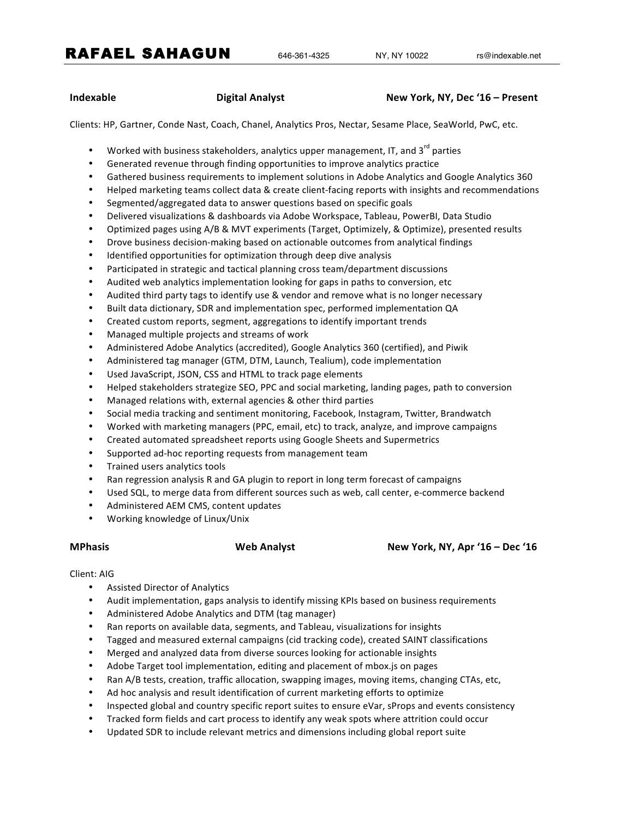RAFAEL SAHAGUN 646-361-4325 NY, NY 10022 rs@indexable.net

### **Indexable Digital Analyst New York, NY, Dec '16 – Present**

Clients: HP, Gartner, Conde Nast, Coach, Chanel, Analytics Pros, Nectar, Sesame Place, SeaWorld, PwC, etc.

- Worked with business stakeholders, analytics upper management, IT, and  $3<sup>rd</sup>$  parties
- Generated revenue through finding opportunities to improve analytics practice
- Gathered business requirements to implement solutions in Adobe Analytics and Google Analytics 360
- Helped marketing teams collect data & create client-facing reports with insights and recommendations
- Segmented/aggregated data to answer questions based on specific goals
- Delivered visualizations & dashboards via Adobe Workspace, Tableau, PowerBI, Data Studio
- Optimized pages using A/B & MVT experiments (Target, Optimizely, & Optimize), presented results
- Drove business decision-making based on actionable outcomes from analytical findings
- Identified opportunities for optimization through deep dive analysis
- Participated in strategic and tactical planning cross team/department discussions
- Audited web analytics implementation looking for gaps in paths to conversion, etc
- Audited third party tags to identify use & vendor and remove what is no longer necessary
- Built data dictionary, SDR and implementation spec, performed implementation QA
- Created custom reports, segment, aggregations to identify important trends
- Managed multiple projects and streams of work
- Administered Adobe Analytics (accredited), Google Analytics 360 (certified), and Piwik
- Administered tag manager (GTM, DTM, Launch, Tealium), code implementation
- Used JavaScript, JSON, CSS and HTML to track page elements
- Helped stakeholders strategize SEO, PPC and social marketing, landing pages, path to conversion
- Managed relations with, external agencies & other third parties
- Social media tracking and sentiment monitoring, Facebook, Instagram, Twitter, Brandwatch
- Worked with marketing managers (PPC, email, etc) to track, analyze, and improve campaigns
- Created automated spreadsheet reports using Google Sheets and Supermetrics
- Supported ad-hoc reporting requests from management team
- Trained users analytics tools
- Ran regression analysis R and GA plugin to report in long term forecast of campaigns
- Used SQL, to merge data from different sources such as web, call center, e-commerce backend
- Administered AEM CMS, content updates
- Working knowledge of Linux/Unix

### **MPhasis Web Analyst New York, NY, Apr '16 – Dec '16**

### Client: AIG

- Assisted Director of Analytics
- Audit implementation, gaps analysis to identify missing KPIs based on business requirements
- Administered Adobe Analytics and DTM (tag manager)
- Ran reports on available data, segments, and Tableau, visualizations for insights
- Tagged and measured external campaigns (cid tracking code), created SAINT classifications
- Merged and analyzed data from diverse sources looking for actionable insights
- Adobe Target tool implementation, editing and placement of mbox.js on pages
- Ran A/B tests, creation, traffic allocation, swapping images, moving items, changing CTAs, etc,
- Ad hoc analysis and result identification of current marketing efforts to optimize
- Inspected global and country specific report suites to ensure eVar, sProps and events consistency
- Tracked form fields and cart process to identify any weak spots where attrition could occur
- Updated SDR to include relevant metrics and dimensions including global report suite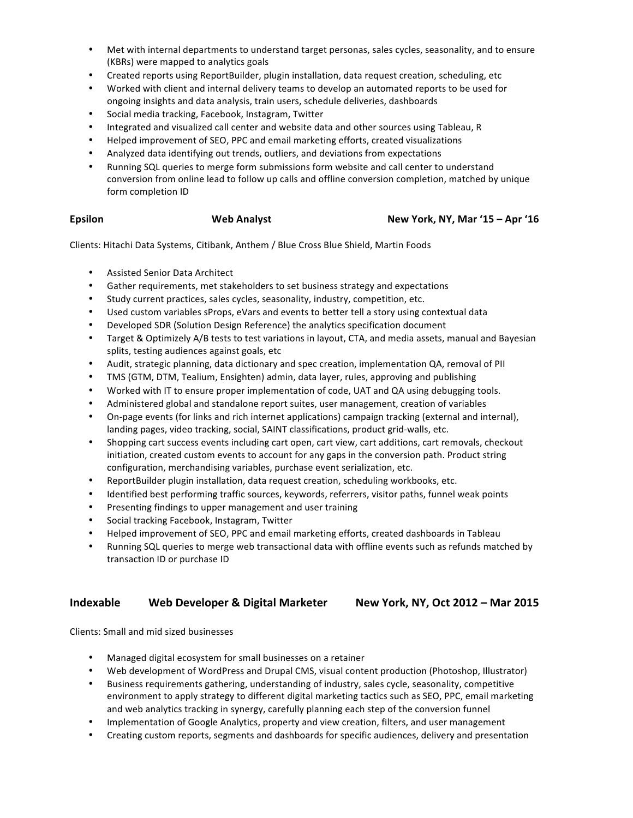- Met with internal departments to understand target personas, sales cycles, seasonality, and to ensure (KBRs) were mapped to analytics goals
- Created reports using ReportBuilder, plugin installation, data request creation, scheduling, etc
- Worked with client and internal delivery teams to develop an automated reports to be used for ongoing insights and data analysis, train users, schedule deliveries, dashboards
- Social media tracking, Facebook, Instagram, Twitter
- Integrated and visualized call center and website data and other sources using Tableau, R
- Helped improvement of SEO, PPC and email marketing efforts, created visualizations
- Analyzed data identifying out trends, outliers, and deviations from expectations
- Running SQL queries to merge form submissions form website and call center to understand conversion from online lead to follow up calls and offline conversion completion, matched by unique form completion ID

### **Epsilon Web Analyst New York, NY, Mar '15 – Apr '16**

Clients: Hitachi Data Systems, Citibank, Anthem / Blue Cross Blue Shield, Martin Foods

- Assisted Senior Data Architect
- Gather requirements, met stakeholders to set business strategy and expectations
- Study current practices, sales cycles, seasonality, industry, competition, etc.
- Used custom variables sProps, eVars and events to better tell a story using contextual data
- Developed SDR (Solution Design Reference) the analytics specification document
- Target & Optimizely A/B tests to test variations in layout, CTA, and media assets, manual and Bayesian splits, testing audiences against goals, etc
- Audit, strategic planning, data dictionary and spec creation, implementation QA, removal of PII
- TMS (GTM, DTM, Tealium, Ensighten) admin, data layer, rules, approving and publishing
- Worked with IT to ensure proper implementation of code, UAT and QA using debugging tools.
- Administered global and standalone report suites, user management, creation of variables
- On-page events (for links and rich internet applications) campaign tracking (external and internal), landing pages, video tracking, social, SAINT classifications, product grid-walls, etc.
- Shopping cart success events including cart open, cart view, cart additions, cart removals, checkout initiation, created custom events to account for any gaps in the conversion path. Product string configuration, merchandising variables, purchase event serialization, etc.
- ReportBuilder plugin installation, data request creation, scheduling workbooks, etc.
- Identified best performing traffic sources, keywords, referrers, visitor paths, funnel weak points
- Presenting findings to upper management and user training
- Social tracking Facebook, Instagram, Twitter
- Helped improvement of SEO, PPC and email marketing efforts, created dashboards in Tableau
- Running SQL queries to merge web transactional data with offline events such as refunds matched by transaction ID or purchase ID

## **Indexable** Web Developer & Digital Marketer New York, NY, Oct 2012 – Mar 2015

Clients: Small and mid sized businesses

- Managed digital ecosystem for small businesses on a retainer
- Web development of WordPress and Drupal CMS, visual content production (Photoshop, Illustrator)
- Business requirements gathering, understanding of industry, sales cycle, seasonality, competitive environment to apply strategy to different digital marketing tactics such as SEO, PPC, email marketing and web analytics tracking in synergy, carefully planning each step of the conversion funnel
- Implementation of Google Analytics, property and view creation, filters, and user management
- Creating custom reports, segments and dashboards for specific audiences, delivery and presentation